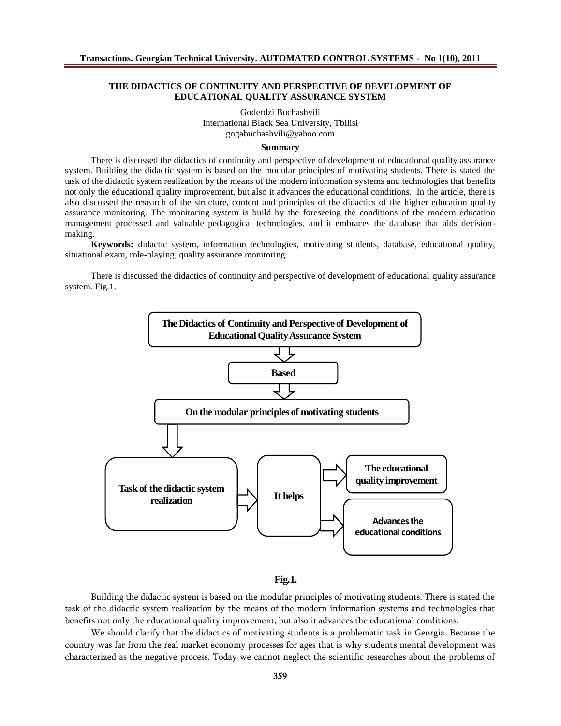## THE DIDACTICS OF CONTINUITY AND PERSPECTIVE OF DEVELOPMENT OF EDUCATIONAL QUALITY ASSURANCE SYSTEM

Goderdzi Buchashvili International Black Sedniversity, Tbilisi [gogabuchashvili@yahoo.co](mailto:gogabuchashvili@yahoo.com)m

**Summary** 

There is discussed the didactics of continuity **pers** perspective of development of educational quality assurance system. Building the didactic system is based on the modular principles of motivating students. There is stated the task of the didactic system realization by the means of the modern informations and technologies that benefits not only the educational quality improvement, but also it advances the educational conditions. In the article, there is also discussed the research of the structure, content and principles of the didactics ofetheduigation quality assurance monitoring. The monitoring system is build by the foreseeing the conditions of the modern education management processed and valuable pedagogical technologies, and it embraces the database that aids decision making.

Keywords: didactic system, information technologies, motivating students, database, educational quality, situational exam, rololaying, quality assurance monitoring.

There is discussed the didactics of continuity and perspective of development of eduquility assurance system.Fig.1.





Building the didactic system is based on the modular principles of motiv task of the didactic system realization by the means of the modern informa benefits not only the edyu cantrio on ad mo auratli but also it advances the educational

We should clarify that the didactics of motivating students is a problen country was far from the real market economy procsesnseenstafbroleavgeelsopthmaetnis wwal characterized as the negative process. Today we cannot neglect the scient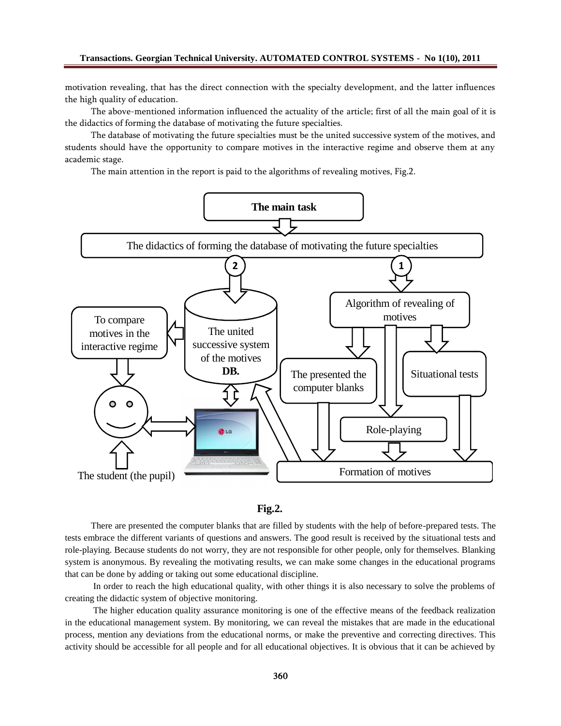motivation revealing, that has the direct connection with the specialty development, and the latter influences the high quality of education.

The above-mentioned information influenced the actuality of the article; first of all the main goal of it is the didactics of forming the database of motivating the future specialties.

The database of motivating the future specialties must be the united successive system of the motives, and students should have the opportunity to compare motives in the interactive regime and observe them at any academic stage.

The main attention in the report is paid to the algorithms of revealing motives, Fig.2.





There are presented the computer blanks that are filled by students with the help of before-prepared tests. The tests embrace the different variants of questions and answers. The good result is received by the situational tests and role-playing. Because students do not worry, they are not responsible for other people, only for themselves. Blanking system is anonymous. By revealing the motivating results, we can make some changes in the educational programs that can be done by adding or taking out some educational discipline.

In order to reach the high educational quality, with other things it is also necessary to solve the problems of creating the didactic system of objective monitoring.

The higher education quality assurance monitoring is one of the effective means of the feedback realization in the educational management system. By monitoring, we can reveal the mistakes that are made in the educational process, mention any deviations from the educational norms, or make the preventive and correcting directives. This activity should be accessible for all people and for all educational objectives. It is obvious that it can be achieved by